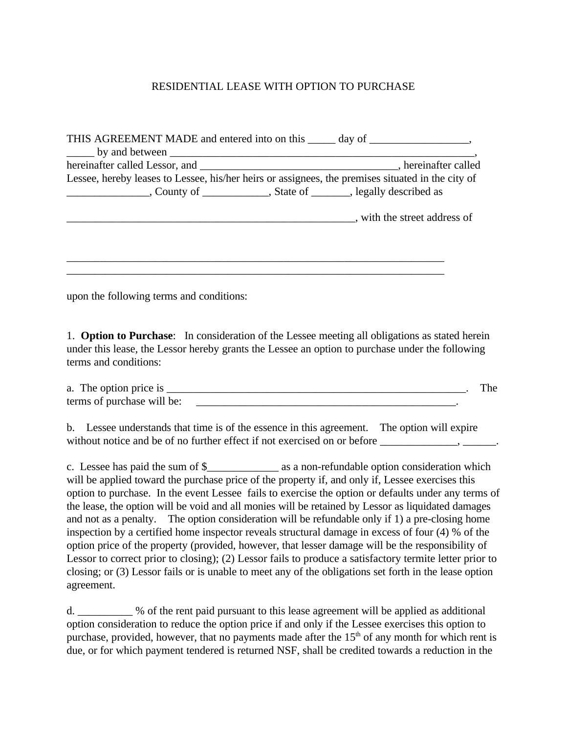## RESIDENTIAL LEASE WITH OPTION TO PURCHASE

| THIS AGREEMENT MADE and entered into on this _____ day of ______________________,                 |                            |
|---------------------------------------------------------------------------------------------------|----------------------------|
|                                                                                                   |                            |
|                                                                                                   |                            |
| Lessee, hereby leases to Lessee, his/her heirs or assignees, the premises situated in the city of |                            |
|                                                                                                   |                            |
|                                                                                                   | with the street address of |
|                                                                                                   |                            |
|                                                                                                   |                            |

upon the following terms and conditions:

1. **Option to Purchase**: In consideration of the Lessee meeting all obligations as stated herein under this lease, the Lessor hereby grants the Lessee an option to purchase under the following terms and conditions:

| The option price is<br>a.  |  |  |
|----------------------------|--|--|
| terms of purchase will be: |  |  |

b. Lessee understands that time is of the essence in this agreement. The option will expire without notice and be of no further effect if not exercised on or before \_\_\_\_\_\_\_\_\_\_\_, \_\_\_\_\_\_.

c. Lessee has paid the sum of \$\_\_\_\_\_\_\_\_\_\_\_\_\_ as a non-refundable option consideration which will be applied toward the purchase price of the property if, and only if, Lessee exercises this option to purchase. In the event Lessee fails to exercise the option or defaults under any terms of the lease, the option will be void and all monies will be retained by Lessor as liquidated damages and not as a penalty. The option consideration will be refundable only if 1) a pre-closing home inspection by a certified home inspector reveals structural damage in excess of four (4) % of the option price of the property (provided, however, that lesser damage will be the responsibility of Lessor to correct prior to closing); (2) Lessor fails to produce a satisfactory termite letter prior to closing; or (3) Lessor fails or is unable to meet any of the obligations set forth in the lease option agreement.

d. \_\_\_\_\_\_\_\_\_\_ % of the rent paid pursuant to this lease agreement will be applied as additional option consideration to reduce the option price if and only if the Lessee exercises this option to purchase, provided, however, that no payments made after the  $15<sup>th</sup>$  of any month for which rent is due, or for which payment tendered is returned NSF, shall be credited towards a reduction in the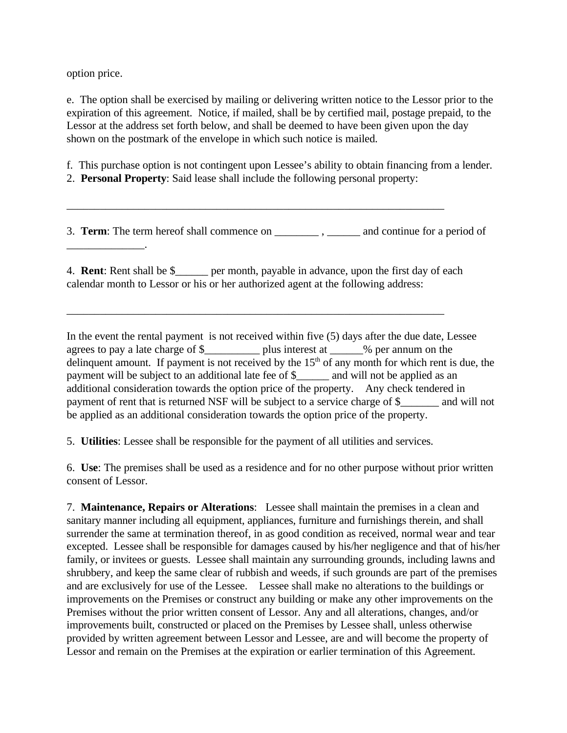option price.

\_\_\_\_\_\_\_\_\_\_\_\_\_\_.

e. The option shall be exercised by mailing or delivering written notice to the Lessor prior to the expiration of this agreement. Notice, if mailed, shall be by certified mail, postage prepaid, to the Lessor at the address set forth below, and shall be deemed to have been given upon the day shown on the postmark of the envelope in which such notice is mailed.

f. This purchase option is not contingent upon Lessee's ability to obtain financing from a lender.

2. **Personal Property**: Said lease shall include the following personal property:

\_\_\_\_\_\_\_\_\_\_\_\_\_\_\_\_\_\_\_\_\_\_\_\_\_\_\_\_\_\_\_\_\_\_\_\_\_\_\_\_\_\_\_\_\_\_\_\_\_\_\_\_\_\_\_\_\_\_\_\_\_\_\_\_\_\_\_\_

3. **Term**: The term hereof shall commence on  $\qquad \qquad$ , and continue for a period of

4. **Rent**: Rent shall be \$\_\_\_\_\_\_ per month, payable in advance, upon the first day of each calendar month to Lessor or his or her authorized agent at the following address:

\_\_\_\_\_\_\_\_\_\_\_\_\_\_\_\_\_\_\_\_\_\_\_\_\_\_\_\_\_\_\_\_\_\_\_\_\_\_\_\_\_\_\_\_\_\_\_\_\_\_\_\_\_\_\_\_\_\_\_\_\_\_\_\_\_\_\_\_

In the event the rental payment is not received within five (5) days after the due date, Lessee agrees to pay a late charge of \$\_\_\_\_\_\_\_\_\_\_ plus interest at \_\_\_\_\_\_% per annum on the delinquent amount. If payment is not received by the  $15<sup>th</sup>$  of any month for which rent is due, the payment will be subject to an additional late fee of \$\_\_\_\_\_\_ and will not be applied as an additional consideration towards the option price of the property. Any check tendered in payment of rent that is returned NSF will be subject to a service charge of \$\_\_\_\_\_\_\_ and will not be applied as an additional consideration towards the option price of the property.

5. **Utilities**: Lessee shall be responsible for the payment of all utilities and services.

6. **Use**: The premises shall be used as a residence and for no other purpose without prior written consent of Lessor.

7. **Maintenance, Repairs or Alterations**: Lessee shall maintain the premises in a clean and sanitary manner including all equipment, appliances, furniture and furnishings therein, and shall surrender the same at termination thereof, in as good condition as received, normal wear and tear excepted. Lessee shall be responsible for damages caused by his/her negligence and that of his/her family, or invitees or guests. Lessee shall maintain any surrounding grounds, including lawns and shrubbery, and keep the same clear of rubbish and weeds, if such grounds are part of the premises and are exclusively for use of the Lessee. Lessee shall make no alterations to the buildings or improvements on the Premises or construct any building or make any other improvements on the Premises without the prior written consent of Lessor. Any and all alterations, changes, and/or improvements built, constructed or placed on the Premises by Lessee shall, unless otherwise provided by written agreement between Lessor and Lessee, are and will become the property of Lessor and remain on the Premises at the expiration or earlier termination of this Agreement.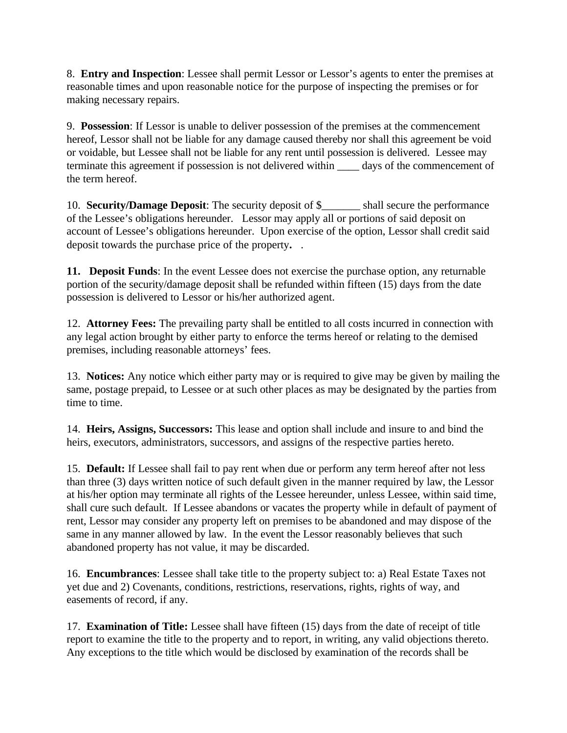8. **Entry and Inspection**: Lessee shall permit Lessor or Lessor's agents to enter the premises at reasonable times and upon reasonable notice for the purpose of inspecting the premises or for making necessary repairs.

9. **Possession**: If Lessor is unable to deliver possession of the premises at the commencement hereof, Lessor shall not be liable for any damage caused thereby nor shall this agreement be void or voidable, but Lessee shall not be liable for any rent until possession is delivered. Lessee may terminate this agreement if possession is not delivered within \_\_\_\_ days of the commencement of the term hereof.

10. **Security/Damage Deposit**: The security deposit of \$\_\_\_\_\_\_\_ shall secure the performance of the Lessee's obligations hereunder. Lessor may apply all or portions of said deposit on account of Lessee's obligations hereunder. Upon exercise of the option, Lessor shall credit said deposit towards the purchase price of the property**.** .

**11. Deposit Funds**: In the event Lessee does not exercise the purchase option, any returnable portion of the security/damage deposit shall be refunded within fifteen (15) days from the date possession is delivered to Lessor or his/her authorized agent.

12. **Attorney Fees:** The prevailing party shall be entitled to all costs incurred in connection with any legal action brought by either party to enforce the terms hereof or relating to the demised premises, including reasonable attorneys' fees.

13. **Notices:** Any notice which either party may or is required to give may be given by mailing the same, postage prepaid, to Lessee or at such other places as may be designated by the parties from time to time.

14. **Heirs, Assigns, Successors:** This lease and option shall include and insure to and bind the heirs, executors, administrators, successors, and assigns of the respective parties hereto.

15. **Default:** If Lessee shall fail to pay rent when due or perform any term hereof after not less than three (3) days written notice of such default given in the manner required by law, the Lessor at his/her option may terminate all rights of the Lessee hereunder, unless Lessee, within said time, shall cure such default. If Lessee abandons or vacates the property while in default of payment of rent, Lessor may consider any property left on premises to be abandoned and may dispose of the same in any manner allowed by law. In the event the Lessor reasonably believes that such abandoned property has not value, it may be discarded.

16. **Encumbrances**: Lessee shall take title to the property subject to: a) Real Estate Taxes not yet due and 2) Covenants, conditions, restrictions, reservations, rights, rights of way, and easements of record, if any.

17. **Examination of Title:** Lessee shall have fifteen (15) days from the date of receipt of title report to examine the title to the property and to report, in writing, any valid objections thereto. Any exceptions to the title which would be disclosed by examination of the records shall be